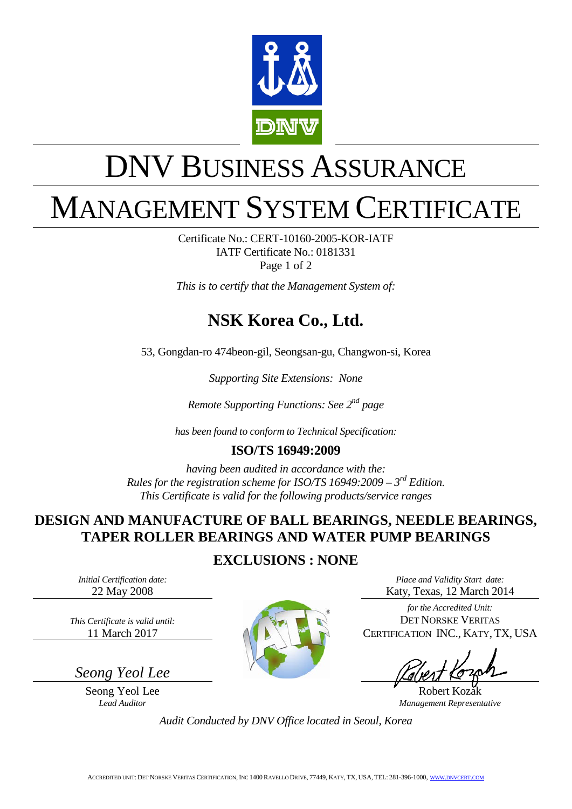

# DNV BUSINESS ASSURANCE

## MANAGEMENT SYSTEM CERTIFICATE

Certificate No.: CERT-10160-2005-KOR-IATF IATF Certificate No.: 0181331 Page 1 of 2

*This is to certify that the Management System of:*

## **NSK Korea Co., Ltd.**

53, Gongdan-ro 474beon-gil, Seongsan-gu, Changwon-si, Korea

*Supporting Site Extensions: None* 

*Remote Supporting Functions: See 2nd page*

*has been found to conform to Technical Specification:*

#### **ISO/TS 16949:2009**

*having been audited in accordance with the: Rules for the registration scheme for ISO/TS 16949:2009 – 3rd Edition. This Certificate is valid for the following products/service ranges*

#### **DESIGN AND MANUFACTURE OF BALL BEARINGS, NEEDLE BEARINGS, TAPER ROLLER BEARINGS AND WATER PUMP BEARINGS**

#### **EXCLUSIONS : NONE**

*Initial Certification date:* 22 May 2008

*This Certificate is valid until:* 11 March 2017

*Seong Yeol Lee*

Seong Yeol Lee Robert Kozak<br>
Lead Auditor Management Represent



*Place and Validity Start date:* Katy, Texas, 12 March 2014

*for the Accredited Unit:* DET NORSKE VERITAS CERTIFICATION INC., KATY, TX, USA

*Lead Auditor Management Representative*

*Audit Conducted by DNV Office located in Seoul, Korea*